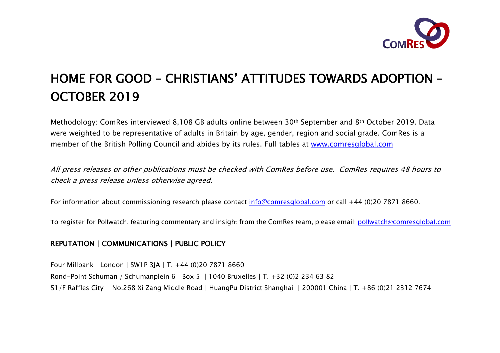

# HOME FOR GOOD – CHRISTIANS' ATTITUDES TOWARDS ADOPTION – OCTOBER 2019

Methodology: ComRes interviewed 8,108 GB adults online between 30th September and 8th October 2019. Data were weighted to be representative of adults in Britain by age, gender, region and social grade. ComRes is a member of the British Polling Council and abides by its rules. Full tables at [www.comresglobal.com](http://www.comresglobal.com/)

All press releases or other publications must be checked with ComRes before use. ComRes requires 48 hours to check a press release unless otherwise agreed.

For information about commissioning research please contact [info@comresglobal.com](mailto:info@comresglobal.com) or call +44 (0)20 7871 8660.

To register for Pollwatch, featuring commentary and insight from the ComRes team, please email: pollwatch@[comresg](mailto:pollwatch@comresglobal.com)lobal.com

## REPUTATION | COMMUNICATIONS | PUBLIC POLICY

Four Millbank | London | SW1P 3JA | T. +44 (0)20 7871 8660 Rond-Point Schuman / Schumanplein 6 | Box 5 | 1040 Bruxelles | T. +32 (0)2 234 63 82 51/F Raffles City | No.268 Xi Zang Middle Road | HuangPu District Shanghai | 200001 China | T. +86 (0)21 2312 7674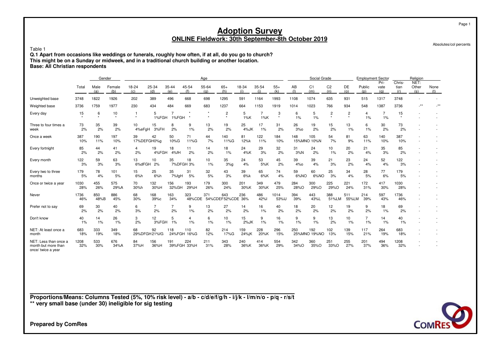Absolutes/col percents

Page 1

#### Table 1

 **Q.1 Apart from occasions like weddings or funerals, roughly how often, if at all, do you go to church?This might be on a Sunday or midweek, and in a traditional church building or another location.Base: All Christian respondents**

|                                                                    |             |             | Gender        |              |                     |                         |                      | Age          |                          |                |              |               |              | Social Grade          |                           |                           |                      | <b>Employment Sector</b> |                       | Religion             |             |
|--------------------------------------------------------------------|-------------|-------------|---------------|--------------|---------------------|-------------------------|----------------------|--------------|--------------------------|----------------|--------------|---------------|--------------|-----------------------|---------------------------|---------------------------|----------------------|--------------------------|-----------------------|----------------------|-------------|
|                                                                    | Total       | Male<br>(a) | Female<br>(b) | 18-24<br>(c) | 25-34<br>(d)        | 35-44<br>(e)            | 45-54<br>(f)         | 55-64<br>(a) | $65+$<br>(h)             | 18-34<br>(i)   | 35-54<br>(i) | $55+$<br>(k)  | AB<br>(1)    | C <sub>1</sub><br>(m) | C <sub>2</sub><br>(n)     | DE<br>(0)                 | Public<br>(p)        | Pri-<br>vate<br>(a)      | Chris-<br>tian<br>(r) | NET:<br>Other<br>(s) | None<br>(t) |
| Unweighted base                                                    | 3748        | 1822        | 1926          | 202          | 389                 | 496                     | 668                  | 698          | 1295                     | 591            | 1164         | 1993          | 1108         | 1074                  | 635                       | 931                       | 515                  | 1317                     | 3748                  |                      |             |
| Weighted base                                                      | 3736        | 1759        | 1977          | 230          | 434                 | 484                     | 669                  | 683          | 1237                     | 664            | 1153         | 1919          | 1014         | 1023                  | 766                       | 934                       | 548                  | 1387                     | 3736                  | $***$                |             |
| Every day                                                          | 15          | 6           | 10<br>$\star$ |              | 5<br>1%FGH          | $\overline{7}$<br>1%FGH | $\star$              |              | $\overline{c}$           | 5<br>$1\%K$    | 7<br>$1\%K$  | 3<br>$\star$  | 6<br>1%      | 5<br>1%               | $\overline{c}$<br>$\star$ | $\overline{c}$<br>$\star$ | 4<br>1%              | 7<br>1%                  | 15<br>$\star$         |                      |             |
| Three to four times a<br>week                                      | 73<br>2%    | 35<br>2%    | 39<br>2%      | 10<br>4%eFqH | 15<br>3%FH          | 8<br>2%                 | 9<br>1%              | 13<br>2%     | 19<br>2%                 | 25<br>4%JK     | 17<br>1%     | 31<br>2%      | 26<br>$3%$ o | 19<br>2%              | 15<br>2%                  | 13<br>1%                  | 6<br>1%              | 30<br>2%                 | 73<br>2%              |                      |             |
| Once a week                                                        | 387<br>10%  | 190<br>11%  | 197<br>10%    | 39           | 42<br>17%DEFGH0%g   | 50<br>10%G              | 71<br>11%G           | 44<br>7%     | 140<br>11%G              | 81<br>12%k     | 122<br>11%   | 184<br>10%    | 148          | 105<br>15%MNO 10%N    | 54<br>7%                  | 81<br>9%                  | 63<br>11%            | 140<br>10%               | 387<br>10%            |                      |             |
| Every fortnight                                                    | 85<br>2%    | 44<br>2%    | 41<br>2%      | 4<br>2%      | 19<br>4%FGH         | 18<br>4%fH              | 11<br>2%             | 14<br>2%     | 18<br>1%                 | 24<br>4%K      | 29<br>3%     | 32<br>2%      | 31<br>3%N    | 24<br>2%              | 10<br>1%                  | 20<br>2%                  | 21<br>4%             | 35<br>3%                 | 85<br>2%              |                      |             |
| Every month                                                        | 122<br>3%   | 59<br>3%    | 63<br>3%      | 13<br>6%dFGH | 10<br>2%            | 35                      | 18<br>7%DFGH 3%      | 10<br>1%     | 35<br>3%g                | 24<br>4%       | 53<br>5%K    | 45<br>2%      | 39<br>4%o    | 39<br>4%              | 21<br>3%                  | 23<br>2%                  | 24<br>4%             | 52<br>4%                 | 122<br>3%             |                      |             |
| Every two to three<br>months                                       | 179<br>5%   | 78<br>4%    | 101<br>5%     | 15<br>6%h    | 25<br>6%h           | 35<br>7%fgH             | 31<br>5%             | 32<br>5%     | 43<br>3%                 | 39<br>6%k      | 65<br>6%K    | 74<br>4%      | 59<br>6%NO   | 60<br>6%NO            | 25<br>3%                  | 34<br>4%                  | 28<br>5%             | 77<br>6%                 | 179<br>5%             |                      |             |
| Once or twice a year                                               | 1030<br>28% | 455<br>26%  | 575<br>29%A   | 70<br>30%h   | 132<br>30%H         | 156<br>32%GH            | 193<br>29%H          | 179<br>26%   | 300<br>24%               | 201<br>30%K    | 349<br>30%K  | 479<br>25%    | 284<br>28%O  | 300<br>29%O           | 225<br>29%O               | 221<br>24%                | 172<br>31%           | 417<br>30%               | 1030<br>28%           |                      |             |
| Never                                                              | 1736<br>46% | 850<br>48%B | 886<br>45%    | 68<br>30%    | 168<br>39%c         | 163<br>34%              | 323<br>48%CDE        | 371          | 643<br>54%CDEF52%CDE 36% | 236            | 486<br>42%   | 1014<br>53%IJ | 394<br>39%   | 443<br>43%L           | 388<br>51%LM              | 511<br>55%LM              | 214<br>39%           | 597<br>43%               | 1736<br>46%           |                      |             |
| Prefer not to say                                                  | 69<br>2%    | 30<br>2%    | 40<br>2%      | 6<br>3%      | 7<br>2%             | $\overline{7}$<br>2%    | 9<br>1%              | 13<br>2%     | 27<br>2%                 | 14<br>2%       | 16<br>1%     | 40<br>2%      | 18<br>2%     | 20<br>2%              | 12<br>2%                  | 19<br>2%                  | 9<br>2%              | 18<br>1%                 | 69<br>2%              |                      |             |
| Don't know                                                         | 40<br>1%    | 14<br>1%    | 26<br>1%      | 3<br>2%      | 12                  | 5<br>3%FGH 1%           | $\overline{4}$<br>1% | 6<br>1%      | 10<br>1%                 | 15<br>$2\%$ JK | 9<br>1%      | 16<br>1%      | 9<br>1%      | 9<br>1%               | 13<br>2%                  | 10<br>1%                  | $\overline{7}$<br>1% | 14<br>1%                 | 40<br>1%              |                      |             |
| NET: At least once a<br>month                                      | 683<br>18%  | 333<br>19%  | 349<br>18%    | 68           | 92<br>29%DFGH 21%fG | 118<br>24%FGH           | 110<br>16%G          | 82<br>12%    | 214<br>17%G              | 159<br>24%jK   | 228<br>20%K  | 296<br>15%    | 250          | 192<br>25%MNO 19%NO   | 102<br>13%                | 139<br>15%                | 117<br>21%           | 264<br>19%               | 683<br>18%            |                      |             |
| NET: Less than once a<br>month but more than<br>once/ twice a year | 1208<br>32% | 533<br>30%  | 676<br>34%A   | 84<br>37%H   | 156<br>36%H         | 191                     | 224<br>39%FGH 33%H   | 211<br>31%   | 343<br>28%               | 240<br>36%K    | 414<br>36%K  | 554<br>29%    | 342<br>34%O  | 360<br>35%O           | 251<br>33%O               | 255<br>27%                | 201<br>37%           | 494<br>36%               | 1208<br>32%           |                      |             |

**Proportions/Means: Columns Tested (5%, 10% risk level) - a/b - c/d/e/f/g/h - i/j/k - l/m/n/o - p/q - r/s/t\*\* very small base (under 30) ineligible for sig testing**

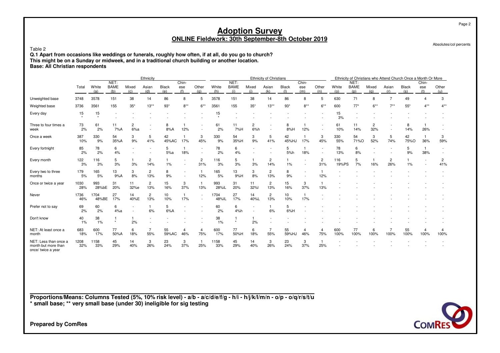Absolutes/col percents

#### Table 2

 **Q.1 Apart from occasions like weddings or funerals, roughly how often, if at all, do you go to church?This might be on a Sunday or midweek, and in a traditional church building or another location.Base: All Christian respondents**

|                                                                    |             |               |                            |                       | Ethnicity             |              |                          |                       |               |                            |                          | Ethnicity of Christians |                     |                          |                                                      |              |                            |              |                        | Ethnicity of Christians who Attend Church Once a Month Or More |                     |              |
|--------------------------------------------------------------------|-------------|---------------|----------------------------|-----------------------|-----------------------|--------------|--------------------------|-----------------------|---------------|----------------------------|--------------------------|-------------------------|---------------------|--------------------------|------------------------------------------------------|--------------|----------------------------|--------------|------------------------|----------------------------------------------------------------|---------------------|--------------|
|                                                                    | Total       | White<br>(a)  | NET:<br><b>BAME</b><br>(b) | Mixed<br>(c)          | Asian<br>(d)          | Black<br>(e) | Chin-<br>ese<br>(f)      | Other<br>(q)          | White<br>(h)  | NET:<br><b>BAME</b><br>(i) | Mixed<br>(i)             | Asian<br>(k)            | <b>Black</b><br>(1) | Chin-<br>ese<br>(m)      | Other<br>(n)                                         | White<br>(o) | NET:<br><b>BAME</b><br>(p) | Mixed<br>(q) | Asian<br>(r)           | <b>Black</b><br>(s)                                            | Chin-<br>ese<br>(t) | Other<br>(u) |
| Unweighted base                                                    | 3748        | 3578          | 151                        | 38                    | 14                    | 86           | 8                        | 5                     | 3578          | 151                        | 38                       | 14                      | 86                  | 8                        | 5                                                    | 630          | 71                         | 8            | $\overline{7}$         | 49                                                             |                     | 3            |
| Weighted base                                                      | 3736        | 3561          | 155                        | $35*$                 | $13**$                | $93*$        | $8***$                   | $6***$                | 3561          | 155                        | $35*$                    | $13**$                  | $93*$               | $8***$                   | $6***$                                               | 600          | $77*$                      | $6***$       | $7**$                  | $55*$                                                          | $4***$              | $4***$       |
| Every day                                                          | 15          | 15<br>$\star$ |                            |                       |                       |              |                          |                       | 15            |                            |                          |                         |                     |                          |                                                      | 15<br>3%     |                            |              |                        |                                                                |                     |              |
| Three to four times a<br>week                                      | 73<br>2%    | 61<br>2%      | 11<br>7%A                  | $\overline{2}$<br>6%a |                       | 8<br>8%A     | 12%                      |                       | 61<br>2%      | 11<br>7%H                  | 2<br>6%h                 |                         | 8<br>8%H            | 12%                      | $\overline{\phantom{a}}$                             | 61<br>10%    | 11<br>14%                  | 2<br>32%     |                        | 8<br>14%                                                       | 26%                 |              |
| Once a week                                                        | 387<br>10%  | 330<br>9%     | 54<br>35%A                 | 3<br>9%               | 5<br>41%              | 42<br>45%AC  | 17%                      | 3<br>45%              | 330<br>9%     | 54<br>35%H                 | 3<br>9%                  | 5<br>41%                | 42<br>45%HJ         | 17%                      | 3<br>45%                                             | 330<br>55%   | 54<br>71%O                 | 3<br>52%     | 5<br>74%               | 42<br>75%O                                                     | 36%                 | 3<br>59%     |
| Every fortnight                                                    | 85<br>2%    | 78<br>2%      | 6<br>4%                    |                       |                       | 5<br>5%a     | 18%                      |                       | 78<br>2%      | 6<br>4%                    |                          |                         | 5<br>5%h            | 18%                      | $\overline{\phantom{a}}$<br>$\overline{\phantom{a}}$ | 78<br>13%    | 6<br>8%                    |              |                        | 5<br>9%                                                        | 38%                 |              |
| Every month                                                        | 122<br>3%   | 116<br>3%     | 5<br>3%                    | 3%                    | 2<br>14%              | 1%           |                          | $\overline{c}$<br>31% | 116<br>3%     | 5<br>3%                    | 3%                       | 2<br>14%                | 1<br>1%             |                          | $\overline{c}$<br>31%                                | 116<br>19%PS | 5<br>7%                    | 16%          | 2<br>26%               | 1%                                                             |                     | 2<br>41%     |
| Every two to three<br>months                                       | 179<br>5%   | 165<br>5%     | 13<br>9%A                  | 3<br>8%               | $\overline{2}$<br>13% | 8<br>9%      | $\overline{\phantom{a}}$ | 1<br>12%              | 165<br>5%     | 13<br>9%H                  | 3<br>8%                  | $\overline{c}$<br>13%   | 8<br>9%             | $\overline{\phantom{a}}$ | 12%                                                  |              |                            |              |                        |                                                                |                     |              |
| Once or twice a year                                               | 1030<br>28% | 993<br>28%bE  | 31<br>20%                  | 11<br>32%e            | $\overline{2}$<br>13% | 15<br>16%    | 3<br>37%                 | 13%                   | 993<br>28%iL  | 31<br>20%                  | 11<br>32%l               | $\overline{c}$<br>13%   | 15<br>16%           | 3<br>37%                 | 13%                                                  |              |                            |              |                        |                                                                |                     |              |
| Never                                                              | 1736<br>46% | 1704<br>48%BE | 27<br>17%                  | 14<br>40%E            | $\overline{2}$<br>13% | 10<br>10%    | $\overline{1}$<br>17%    |                       | 1704<br>48%IL | 27<br>17%                  | 14<br>40%L               | $\overline{c}$<br>13%   | 10<br>10%           | 17%                      |                                                      |              |                            |              |                        |                                                                |                     |              |
| Prefer not to say                                                  | 69<br>2%    | 60<br>2%      | 6<br>4%a                   |                       | 6%                    | 5<br>6%A     |                          |                       | 60<br>2%      | 6<br>4%h                   | $\overline{\phantom{a}}$ | $\mathbf{1}$<br>6%      | 5<br>6%H            |                          |                                                      |              |                            |              |                        |                                                                |                     |              |
| Don't know                                                         | 40<br>1%    | 38<br>1%      | $\star$                    | 2%                    |                       |              |                          |                       | 38<br>1%      |                            | 1<br>2%                  |                         |                     |                          |                                                      |              |                            |              |                        |                                                                |                     |              |
| NET: At least once a<br>month                                      | 683<br>18%  | 600<br>17%    | 77<br>50%A                 | 6<br>18%              | 55%                   | 55<br>59%AC  | 4<br>46%                 | 4<br>75%              | 600<br>17%    | 77<br>50%H                 | 6<br>18%                 | 7<br>55%                | 55<br>59%HJ         | 4<br>46%                 | 4<br>75%                                             | 600<br>100%  | 77<br>100%                 | 6<br>100%    | $\overline{7}$<br>100% | 55<br>100%                                                     | 4<br>100%           | 100%         |
| NET: Less than once a<br>month but more than<br>once/ twice a year | 1208<br>32% | 1158<br>33%   | 45<br>29%                  | 14<br>40%             | 3<br>26%              | 23<br>24%    | 3<br>37%                 | 25%                   | 1158<br>33%   | 45<br>29%                  | 14<br>40%                | 3<br>26%                | 23<br>24%           | 3<br>37%                 | 25%                                                  |              |                            |              |                        |                                                                |                     |              |

**Proportions/Means: Columns Tested (5%, 10% risk level) - a/b - a/c/d/e/f/g - h/i - h/j/k/l/m/n - o/p - o/q/r/s/t/u\* small base; \*\* very small base (under 30) ineligible for sig testing**



**Prepared by ComRes**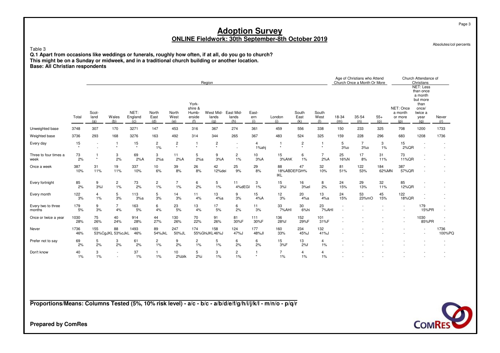| Table 3<br>Q.1 Apart from occasions like weddings or funerals, roughly how often, if at all, do you go to church?<br>This might be on a Sunday or midweek, and in a traditional church building or another location.<br><b>Base: All Christian respondents</b> |             |                      |                        |                        |                      |                             |                                            |                           | <b>Adoption Survey</b>         |                                  | <b>ONLINE Fieldwork: 30th September-8th October 2019</b> |                            |                         |              |                                                             |              |                                        |                                                                                                 | Page 3<br>Absolutes/col percents |
|----------------------------------------------------------------------------------------------------------------------------------------------------------------------------------------------------------------------------------------------------------------|-------------|----------------------|------------------------|------------------------|----------------------|-----------------------------|--------------------------------------------|---------------------------|--------------------------------|----------------------------------|----------------------------------------------------------|----------------------------|-------------------------|--------------|-------------------------------------------------------------|--------------|----------------------------------------|-------------------------------------------------------------------------------------------------|----------------------------------|
|                                                                                                                                                                                                                                                                |             |                      |                        |                        |                      |                             |                                            | Region                    |                                |                                  |                                                          |                            |                         |              | Age of Christians who Attend<br>Church Once a Month Or More |              |                                        | Church Attendance of<br>Christians                                                              |                                  |
|                                                                                                                                                                                                                                                                | Total       | Scot-<br>land<br>(a) | Wales<br>(b)           | NET:<br>England<br>(c) | North<br>East<br>(d) | <b>North</b><br>West<br>(e) | York-<br>shire &<br>Humb-<br>erside<br>(f) | West Mid-<br>lands<br>(q) | East Mid-<br>lands<br>(h)      | East-<br>ern<br>(i)              | London<br>(i)                                            | South<br>East<br>(k)       | South<br>West<br>(1)    | 18-34<br>(m) | 35-54<br>(n)                                                | $55+$<br>(o) | NET: Once<br>a month<br>or more<br>(p) | <b>NET: Less</b><br>than once<br>a month<br>but more<br>than<br>once/<br>twice a<br>year<br>(q) | Never<br>(r)                     |
| Unweighted base                                                                                                                                                                                                                                                | 3748        | 307                  | 170                    | 3271                   | 147                  | 453                         | 316                                        | 367                       | 274                            | 361                              | 459                                                      | 556                        | 338                     | 150          | 233                                                         | 325          | 708                                    | 1200                                                                                            | 1733                             |
| Weighted base                                                                                                                                                                                                                                                  | 3736        | 293                  | 168                    | 3276                   | 163                  | 492                         | 314                                        | 344                       | 265                            | 367                              | 483                                                      | 524                        | 325                     | 159          | 228                                                         | 296          | 683                                    | 1208                                                                                            | 1736                             |
| Every day                                                                                                                                                                                                                                                      | 15          |                      | -1                     | 15<br>$\star$          | $\overline{c}$<br>1% | $\overline{c}$<br>$\star$   | -1<br>$\star$                              | $\overline{c}$<br>$\star$ |                                | $\overline{\mathbf{4}}$<br>1%ahj |                                                          | $\overline{c}$<br>$^\star$ | $\star$                 | 5<br>3%      | $\overline{7}$<br>3%                                        | 3<br>1%      | 15<br>2%QR                             |                                                                                                 |                                  |
| Three to four times a<br>week                                                                                                                                                                                                                                  | 73<br>2%    | $\star$              | 3<br>2%                | 69<br>2%A              | 3<br>2%a             | 11<br>2%A                   | 5<br>2%a                                   | 9<br>3%A                  | $\overline{c}$<br>1%           | 10<br>3%A                        | 15<br>3%AhK                                              | 6<br>1%                    | $\overline{7}$<br>2%A   | 25<br>16%N   | 17<br>8%                                                    | 31<br>11%    | 73<br>11% QR                           |                                                                                                 |                                  |
| Once a week                                                                                                                                                                                                                                                    | 387<br>10%  | 31<br>11%            | 19<br>11%              | 337<br>10%             | 10<br>6%             | 39<br>8%                    | 26<br>8%                                   | 42<br>12%dei              | 25<br>9%                       | 29<br>8%                         | 88<br>18%ABDEFGH%<br>IKL                                 | 47                         | 32<br>10%               | 81<br>51%    | 122<br>53%                                                  | 184<br>62%MN | 387<br>57%QR                           |                                                                                                 |                                  |
| Every fortnight                                                                                                                                                                                                                                                | 85<br>2%    | 9<br>3%              | $\overline{c}$<br>1%   | 73<br>2%               | $\overline{c}$<br>1% | 7<br>1%                     | 6<br>2%                                    | 5<br>1%                   | 11<br>4%dEGI                   | 3<br>1%                          | 15<br>3%                                                 | 16<br>3%el                 | 8<br>2%                 | 24<br>15%    | 29<br>13%                                                   | 32<br>11%    | 85<br>12%QR                            |                                                                                                 |                                  |
| Every month                                                                                                                                                                                                                                                    | 122<br>3%   | 4<br>1%              | 5<br>3%                | 113<br>3%a             | 5<br>3%              | 14<br>3%                    | 11<br>4%                                   | 13<br>4%a                 | 9<br>3%                        | 15<br>4%A                        | 12<br>3%                                                 | 20<br>4%a                  | 13<br>4%a               | 24<br>15%    | 53<br>23%mO                                                 | 45<br>15%    | 122<br>18%QR                           |                                                                                                 |                                  |
| Every two to three<br>months                                                                                                                                                                                                                                   | 179<br>5%   | 9<br>3%              | $\overline{7}$<br>4%   | 163<br>5%              | 6<br>4%              | 23<br>5%                    | 13<br>4%                                   | 17<br>5%                  | 6<br>2%                        | 11<br>3%                         | 33<br>7%AHI                                              | 30<br>6%hi                 | 23<br>7%AHI             |              |                                                             |              |                                        | 179<br>15%PR                                                                                    | $\overline{\phantom{a}}$         |
| Once or twice a year                                                                                                                                                                                                                                           | 1030<br>28% | 75<br>26%            | 40<br>24%              | 914<br>28%             | 44<br>27%            | 130<br>26%                  | 70<br>22%                                  | 91<br>26%                 | 81<br>30%F                     | 111<br>30%F                      | 136<br>28%f                                              | 152<br>29%F                | 101<br>31%F             |              |                                                             |              |                                        | 1030<br>85%PR                                                                                   | $\overline{\phantom{a}}$         |
| Never                                                                                                                                                                                                                                                          | 1736<br>46% | 155                  | 88<br>53%CgJKL 53%cJkL | 1493<br>46%            | 89<br>54%JkL         | 247<br>50%JL                | 174                                        | 158<br>55%GhiJKL46%J      | 124<br>47%J                    | 177<br>48%JI                     | 160<br>33%                                               | 234<br>45%J                | 132<br>41%J             |              |                                                             |              |                                        |                                                                                                 | 1736<br>100%PQ                   |
| Prefer not to say                                                                                                                                                                                                                                              | 69<br>2%    | 5<br>2%              | 3<br>2%                | 61<br>2%               | $\overline{c}$<br>1% | 9<br>2%                     | $\overline{c}$<br>1%                       | 5<br>1%                   | 6<br>2%                        | 6<br>2%                          | 15<br>3%F                                                | 13<br>2%f                  | $\overline{4}$<br>$1\%$ |              |                                                             |              |                                        |                                                                                                 |                                  |
| Don't know                                                                                                                                                                                                                                                     | 40<br>1%    | 3<br>$1\%$           |                        | 37<br>1%               | $\mathbf{1}$<br>1%   | 10<br>2%blk                 | 5<br>2%i                                   | 3<br>1%                   | $\mathbf{2}^{\prime}$<br>$1\%$ |                                  | $\overline{7}$<br>1%                                     | $\overline{4}$<br>1%       | 4<br>$1\%$              |              |                                                             |              |                                        |                                                                                                 |                                  |

**Proportions/Means: Columns Tested (5%, 10% risk level) - a/c - b/c - a/b/d/e/f/g/h/i/j/k/l - m/n/o - p/q/r**

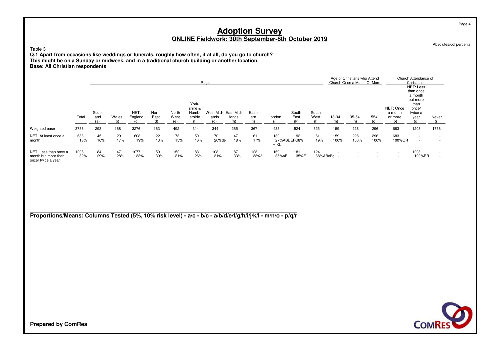Absolutes/col percents

Page 4

### Table 3

 **Q.1 Apart from occasions like weddings or funerals, roughly how often, if at all, do you go to church? This might be on a Sunday or midweek, and in a traditional church building or another location.Base: All Christian respondents**

|                                                                    |             |                      |              |                 |               |                      |                                            | Region             |                    |              |                    |                      |               |             | Age of Christians who Attend<br>Church Once a Month Or More |              |                                        | Church Attendance of<br>Christians                                                |                                    |
|--------------------------------------------------------------------|-------------|----------------------|--------------|-----------------|---------------|----------------------|--------------------------------------------|--------------------|--------------------|--------------|--------------------|----------------------|---------------|-------------|-------------------------------------------------------------|--------------|----------------------------------------|-----------------------------------------------------------------------------------|------------------------------------|
|                                                                    | Total       | Scot-<br>land<br>(a) | Wales<br>(b) | NET:<br>England | North<br>East | North<br>West<br>(e) | York-<br>shire &<br>Humb-<br>erside<br>(f) | West Mid-<br>lands | East Mid-<br>lands | East-<br>ern | London             | South<br>East<br>(k) | South<br>West | 18-34       | 35-54<br>(n)                                                | $55+$<br>(0) | NET: Once<br>a month<br>or more<br>(n) | NET: Less<br>than once<br>a month<br>but more<br>than<br>once/<br>twice a<br>year | Never<br>(r)                       |
| Weighted base                                                      | 3736        | 293                  | 168          | 3276            | 163           | 492                  | 314                                        | 344                | 265                | 367          | 483                | 524                  | 325           | 159         | 228                                                         | 296          | 683                                    | 1208                                                                              | 1736                               |
| NET: At least once a<br>month                                      | 683<br>18%  | 45<br>16%            | 29<br>17%    | 608<br>19%      | 22<br>13%     | 73<br>15%            | 50<br>16%                                  | 70<br>20%de        | 47<br>18%          | 61<br>17%    | 132<br><b>HIKL</b> | 92<br>27%ABDEFG8%    | 61<br>19%     | 159<br>100% | 228<br>100%                                                 | 296<br>100%  | 683<br>100%QR                          | $\overline{\phantom{a}}$<br>$\overline{\phantom{a}}$                              | $\overline{\phantom{a}}$<br>$\sim$ |
| NET: Less than once a<br>month but more than<br>once/ twice a year | 1208<br>32% | 84<br>29%            | 47<br>28%    | 1077<br>33%     | 50<br>30%     | 152<br>31%           | 83<br>26%                                  | 108<br>31%         | 87<br>33%          | 123<br>33%f  | 169<br>35%aF       | 181<br>35%F          | 124           | 38%ABeFq -  |                                                             |              | $\overline{\phantom{a}}$<br>$\sim$     | 1208<br>100%PR                                                                    | $\sim$<br>$\overline{\phantom{a}}$ |

**Proportions/Means: Columns Tested (5%, 10% risk level) - a/c - b/c - a/b/d/e/f/g/h/i/j/k/l - m/n/o - p/q/r**

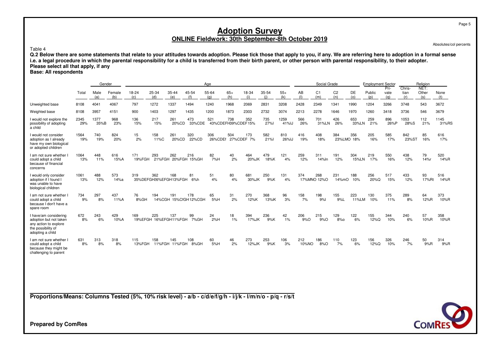Absolutes/col percents

Table 4

Q.2 Below there are some statements that relate to your attitudes towards adoption. Please tick those that apply to you, if any. We are referring here to adoption in a formal sense<br>i.e. a legal procedure in which the paren **Please select all that apply, if any**

**Base: All respondents**

|                                                                                                                    |             | Gender       |               |               |              |                              |                             | Age                       |              |                   |              |               |              | Social Grade          |                       |                   | <b>Employment Sector</b> |                     |                       | Religion             |               |
|--------------------------------------------------------------------------------------------------------------------|-------------|--------------|---------------|---------------|--------------|------------------------------|-----------------------------|---------------------------|--------------|-------------------|--------------|---------------|--------------|-----------------------|-----------------------|-------------------|--------------------------|---------------------|-----------------------|----------------------|---------------|
|                                                                                                                    | Total       | Male<br>(a)  | Female<br>(b) | 18-24<br>(c)  | 25-34<br>(d) | 35-44<br>(e)                 | 45-54<br>(f)                | 55-64<br>(a)              | $65+$<br>(h) | 18-34<br>(i)      | 35-54<br>(i) | $55+$<br>(k)  | AB<br>(1)    | C <sub>1</sub><br>(m) | C <sub>2</sub><br>(n) | DE<br>(0)         | Public<br>(p)            | Pri-<br>vate<br>(a) | Chris-<br>tian<br>(r) | NET:<br>Other<br>(s) | None<br>(t)   |
| Unweighted base                                                                                                    | 8108        | 4041         | 4067          | 797           | 1272         | 1337                         | 1494                        | 1240                      | 1968         | 2069              | 2831         | 3208          | 2428         | 2349                  | 1341                  | 1990              | 1204                     | 3266                | 3748                  | 543                  | 3672          |
| Weighted base                                                                                                      | 8108        | 3957         | 4151          | 900           | 1403         | 1297                         | 1435                        | 1200                      | 1873         | 2303              | 2732         | 3074          | 2213         | 2278                  | 1646                  | 1970              | 1260                     | 3418                | 3736                  | 546                  | 3679          |
| I would not explore the<br>possibility of adopting<br>a child                                                      | 2345<br>29% | 1377<br>35%B | 968<br>23%    | 136<br>15%    | 217<br>15%   | 261<br>20%CD                 | 473<br>33%CDE               | 521<br>43%CDEFH39%CDEF15% | 738          | 352               | 735<br>27%l  | 1259<br>41%IJ | 566<br>26%   | 701<br>31%LN          | 426<br>26%            | 653<br>33%LN      | 259<br>21%               | 896<br>26%P         | 1053<br>28%S          | 112<br>21%           | 1145<br>31%RS |
| I would not consider<br>adoption as I already<br>have my own biological<br>or adopted children                     | 1564<br>19% | 740<br>19%   | 824<br>20%    | 15<br>2%      | 158<br>11%C  | 261<br>20%CD                 | 320<br>22%CD                | 306<br>26%CDEf            | 504          | 173<br>27%CDEF 7% | 582<br>21%l  | 810<br>26%IJ  | 416<br>19%   | 408<br>18%            | 384                   | 356<br>23%LMO 18% | 205<br>16%               | 585<br>17%          | 842<br>23%ST          | 85<br>16%            | 616<br>17%    |
| I am not sure whether<br>could adopt a child<br>because of financial<br>concerns                                   | 1064<br>13% | 448<br>11%   | 616<br>15%A   | 171<br>19%FGH | 293          | 262                          | 216<br>21%FGH 20%FGH 15%GH  | 82<br>7%H                 | 40<br>2%     | 464<br>20%JK      | 479<br>18%K  | 121<br>4%     | 259<br>12%   | 311<br>14%In          | 191<br>12%            | 304<br>15%LN      | 219<br>17%               | 550<br>16%          | 438<br>12%            | 79<br>14%r           | 520<br>14%R   |
| I would only consider<br>adoption if I found I<br>was unable to have<br>biological children                        | 1061<br>13% | 488<br>12%   | 573<br>14%a   | 319           | 362          | 168<br>35%DEFGH26%EFGH13%FGH | 81<br>6%h                   | 51<br>4%                  | 80<br>4%     | 681<br>30%JK      | 250<br>9%K   | 131<br>4%     | 374          | 268<br>17%MNO 12%O    | 231<br>14%mO          | 188<br>10%        | 256<br>20%Q              | 517<br>15%          | 433<br>12%            | 93<br>17%Rt          | 516<br>14%R   |
| I am not sure whether I<br>could adopt a child<br>because I don't have a<br>spare room                             | 734<br>9%   | 297<br>8%    | 437<br>11%A   | 76<br>8%GH    | 194          | 191                          | 178<br>14%CGH 15%CfGH12%CGH | 65<br>5%H                 | 31<br>2%     | 270<br>12%K       | 368<br>13%iK | 96<br>3%      | 158<br>7%    | 198<br>9%             | 155<br>9%             | 223<br>11%LM      | 130<br>10%               | 375<br>11%          | 289<br>8%             | 64<br>12%R           | 373<br>10%R   |
| I have/am considering<br>adoption but not taken<br>any action to explore<br>the possibility of<br>adopting a child | 672<br>8%   | 243<br>6%    | 429<br>10%A   | 169           | 225          | 137<br>19%EFGH 16%EFGH11%FGH | 99<br>7%GH                  | 24<br>2%H                 | 18<br>1%     | 394<br>17%JK      | 236<br>9%K   | 42<br>1%      | 206<br>9%O   | 215<br>9%O            | 129<br>8%0            | 122<br>6%         | 155<br>12%Q              | 344<br>10%          | 240<br>6%             | 57<br>10%R           | 358<br>10%R   |
| I am not sure whether<br>could adopt a child<br>because they might be<br>challenging to parent                     | 631<br>8%   | 313<br>8%    | 318<br>8%     | 115<br>13%FGH | 158          | 145<br>11%FGH 11%FGH         | 108<br>8%GH                 | 60<br>5%H                 | 46<br>2%     | 273<br>12%JK      | 253<br>9%K   | 106<br>3%     | 212<br>10%NO | 186<br>8%O            | 110<br>7%             | 123<br>6%         | 156<br>12%Q              | 326<br>10%          | 246<br>7%             | 50<br>9%R            | 314<br>9%R    |

**Proportions/Means: Columns Tested (5%, 10% risk level) - a/b - c/d/e/f/g/h - i/j/k - l/m/n/o - p/q - r/s/t**

**Prepared by ComRes**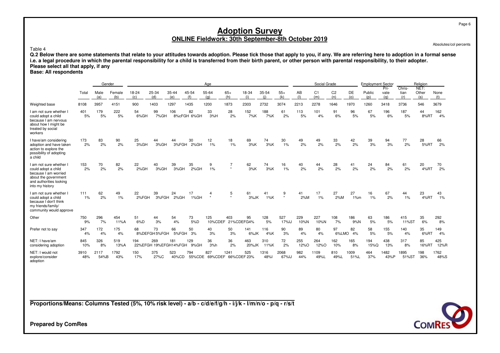Absolutes/col percents

Table 4

Q.2 Below there are some statements that relate to your attitudes towards adoption. Please tick those that apply to you, if any. We are referring here to adoption in a formal sense<br>i.e. a legal procedure in which the paren **Please select all that apply, if any**

**Base: All respondents**

|                                                                                                                                              |             | Gender       |                 |              |                              |                  |                   | Age                   |                           |                    |              |               |             | Social Grade          |                       |                | <b>Employment Sector</b> |                     |                       | Religion             |              |
|----------------------------------------------------------------------------------------------------------------------------------------------|-------------|--------------|-----------------|--------------|------------------------------|------------------|-------------------|-----------------------|---------------------------|--------------------|--------------|---------------|-------------|-----------------------|-----------------------|----------------|--------------------------|---------------------|-----------------------|----------------------|--------------|
|                                                                                                                                              | Total       | Male<br>(a)  | Female<br>(b)   | 18-24<br>(c) | 25-34<br>(d)                 | 35-44<br>(e)     | 45-54<br>(f)      | 55-64<br>(q)          | $65+$<br>(h)              | 18-34<br>(i)       | 35-54<br>(i) | $55+$<br>(k)  | AB<br>(1)   | C <sub>1</sub><br>(m) | C <sub>2</sub><br>(n) | DE<br>(o)      | Public<br>(p)            | Pri-<br>vate<br>(a) | Chris-<br>tian<br>(r) | NET:<br>Other<br>(s) | None<br>(t)  |
| Weighted base                                                                                                                                | 8108        | 3957         | 4151            | 900          | 1403                         | 1297             | 1435              | 1200                  | 1873                      | 2303               | 2732         | 3074          | 2213        | 2278                  | 1646                  | 1970           | 1260                     | 3418                | 3736                  | 546                  | 3679         |
| I am not sure whether I<br>could adopt a child<br>because I am nervous<br>about how I might be<br>treated by social<br>workers               | 401<br>5%   | 179<br>5%    | 222<br>5%       | 54<br>6%GH   | 99<br>7%GH                   | 106              | 82<br>8%cFGH 6%GH | 33<br>3%H             | 28<br>2%                  | 152<br>7%K         | 188<br>7%K   | 61<br>2%      | 113<br>5%   | 101<br>4%             | 91<br>6%              | 96<br>5%       | 67<br>5%                 | 196<br>6%           | 187<br>5%             | 44<br>8%RT           | 162<br>4%    |
| I have/am considering<br>adoption and have taken<br>action to explore the<br>possibility of adopting<br>a child                              | 173<br>2%   | 83<br>2%     | 90<br>2%        | 25<br>3%GH   | 44<br>3%GH                   | 44<br>3%FGH      | 30<br>2%GH        | 12<br>1%              | 18<br>1%                  | 69<br>3%K          | 74<br>3%K    | 30<br>$1\%$   | 49<br>2%    | 49<br>2%              | 33<br>2%              | 42<br>2%       | 39<br>3%                 | 94<br>3%            | 77<br>2%              | 28<br>5%RT           | 66<br>2%     |
| I am not sure whether I<br>could adopt a child<br>because I am worried<br>about the government<br>and authorities looking<br>into my history | 153<br>2%   | 70<br>2%     | 82<br>2%        | 22<br>2%GH   | 40<br>3%GH                   | 39<br>3%GH       | 35<br>2%GH        | 9<br>1%               | $\overline{7}$<br>$\star$ | 62<br>3%K          | 74<br>3%K    | 16<br>1%      | 40<br>2%    | 44<br>2%              | 28<br>2%              | 41<br>2%       | 24<br>2%                 | 84<br>2%            | 61<br>2%              | 20<br>4%RT           | 70<br>2%     |
| I am not sure whether I<br>could adopt a child<br>because I don't think<br>my friends/family/<br>community would approve                     | 111<br>1%   | 62<br>2%     | 49<br>1%        | 22<br>2%FGH  | 39                           | 24<br>3%FGH 2%GH | 17<br>1%GH        | 4<br>$^\star$         | 5<br>$\star$              | 61<br>$3%$ JK      | 41<br>1%K    | 9<br>$\star$  | 41<br>2%M   | 17<br>1%              | 27<br>2%M             | 27<br>1%m      | 16<br>1%                 | 67<br>2%            | 44<br>1%              | 23<br>4%RT           | 43<br>1%     |
| Other                                                                                                                                        | 750<br>9%   | 296<br>7%    | 454<br>$11\%$ A | 51<br>6%D    | 44<br>3%                     | 54<br>4%         | 73<br>5%D         | 125<br>10%CDEF        | 403                       | 95<br>21%CDEFG4%   | 128<br>5%    | 527<br>17%    | 229<br>10%N | 227<br>10%N           | 108<br>7%             | 186<br>9%N     | 63<br>5%                 | 186<br>5%           | 415<br>11%ST          | 35<br>6%             | 292<br>8%    |
| Prefer not to say                                                                                                                            | 347<br>4%   | 172<br>4%    | 175<br>4%       | 68           | 73<br>8%DEFGH5%FGH           | 66<br>5%FGH      | 50<br>3%          | 40<br>3%              | 50<br>3%                  | 141<br>$6\%$ JK    | 116<br>4%K   | 90<br>3%      | 89<br>4%    | 80<br>4%              | 97                    | 82<br>6%LMO 4% | 58<br>5%                 | 155<br>5%           | 140<br>4%             | 35<br>6%RT           | 149<br>4%    |
| NET: I have/am<br>considering adoption                                                                                                       | 845<br>10%  | 326<br>8%    | 519<br>13%A     | 194          | 269<br>22%EFGH 19%EFGH14%FGH | 181              | 129<br>9%GH       | 36<br>3%h             | 36<br>2%                  | 463<br>20%JK       | 310<br>11%K  | 72<br>2%      | 255<br>12%O | 264<br>12%O           | 162<br>10%            | 165<br>8%      | 194<br>15%Q              | 438<br>13%          | 317<br>8%             | 85<br>16%RT          | 425<br>12%R  |
| NET: I would not<br>explore/consider<br>adoption                                                                                             | 3910<br>48% | 2117<br>54%B | 1792<br>43%     | 150<br>17%   | 375<br>27%C                  | 523<br>40%CD     | 794               | 827<br>55%CDE 69%CDEF | 1241                      | 525<br>66%CDEF 23% | 1316<br>48%  | 2068<br>67%IJ | 982<br>44%  | 1109<br>49%L          | 810<br>49%L           | 1009<br>51%L   | 464<br>37%               | 1482<br>43%P        | 1895<br>51%ST         | 198<br>36%           | 1762<br>48%S |

**Proportions/Means: Columns Tested (5%, 10% risk level) - a/b - c/d/e/f/g/h - i/j/k - l/m/n/o - p/q - r/s/t**



**Prepared by ComRes**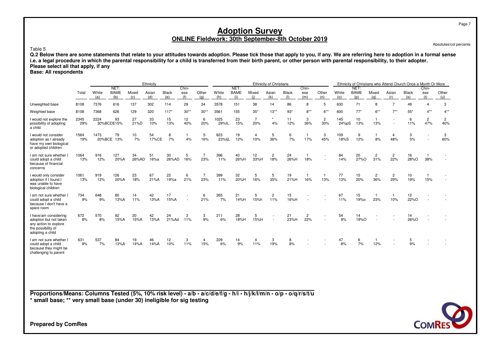Absolutes/col percents

#### Table 5

Q.2 Below there are some statements that relate to your attitudes towards adoption. Please tick those that apply to you, if any. We are referring here to adoption in a formal sense<br>i.e. a legal procedure in which the paren **Please select all that apply, if any**

### **Base: All respondents**

|                                                                                                                    |             |                |                    |              | Ethnicity    |                     |            |              |               |                    |              | <b>Ethnicity of Christians</b> |                     |                       |                       |              |                    |                       |                       | Ethnicity of Christians who Attend Church Once a Month Or More |            |                       |
|--------------------------------------------------------------------------------------------------------------------|-------------|----------------|--------------------|--------------|--------------|---------------------|------------|--------------|---------------|--------------------|--------------|--------------------------------|---------------------|-----------------------|-----------------------|--------------|--------------------|-----------------------|-----------------------|----------------------------------------------------------------|------------|-----------------------|
|                                                                                                                    |             |                | NET:               |              |              |                     | Chin-      |              |               | NET:               |              |                                |                     | Chin-                 |                       |              | NET:               |                       |                       |                                                                | Chin-      |                       |
|                                                                                                                    | Total       | White<br>(a)   | <b>BAME</b><br>(b) | Mixed<br>(c) | Asian<br>(d) | <b>Black</b><br>(e) | ese<br>(f) | Other<br>(a) | White<br>(h)  | <b>BAME</b><br>(i) | Mixed<br>(i) | Asian<br>(k)                   | <b>Black</b><br>(1) | ese<br>(m)            | Other<br>(n)          | White<br>(0) | <b>BAME</b><br>(p) | Mixed<br>(a)          | Asian<br>(r)          | <b>Black</b><br>(s)                                            | ese<br>(t) | Other<br>(u)          |
| Unweighted base                                                                                                    | 8108        | 7376           | 616                | 137          | 302          | 114                 | 29         | 34           | 3578          | 151                | 38           | 14                             | 86                  | 8                     | 5                     | 630          | 71                 | 8                     | 7                     | 49                                                             |            | 3                     |
| Weighted base                                                                                                      | 8108        | 7368           | 626                | 129          | 320          | $117*$              | $30**$     | $30**$       | 3561          | 155                | $35*$        | $13**$                         | $93*$               | $8***$                | $6***$                | 600          | $77*$              | $6***$                | $7**$                 | $55*$                                                          | $4**$      | $4**$                 |
| I would not explore the<br>possibility of adopting<br>a child                                                      | 2345<br>29% | 2224           | 93<br>30%BCDE15%   | 27<br>21%D   | 33<br>10%    | 15<br>13%           | 12<br>40%  | 6<br>20%     | 1025<br>29%IL | 23<br>15%          | 7<br>20%     | 4%                             | 11<br>12%           | 3<br>36%              | $\overline{c}$<br>30% | 145<br>24%pS | 10<br>13%          | 13%                   |                       | 6<br>11%                                                       | 2<br>47%   | $\overline{c}$<br>40% |
| I would not consider<br>adoption as I already<br>have my own biological<br>or adopted children                     | 1564<br>19% | 1473<br>20%BCE | 79<br>13%          | 10<br>7%     | 54<br>17%CE  | 8<br>7%             | 4%         | 5<br>16%     | 823<br>23%ljL | 19<br>12%          | 4<br>10%     | 5<br>36%                       | 6<br>7%             | 17%                   | 3<br>45%              | 109<br>18%S  | 9<br>12%           | 8%                    | -4<br>48%             | 3<br>5%                                                        |            | 3<br>60%              |
| I am not sure whether<br>could adopt a child<br>because of financial<br>concerns                                   | 1064<br>13% | 916<br>12%     | 127<br>20%A        | 34<br>26%AD  | 51<br>16%a   | 30<br>26%AD         | 5<br>16%   | 23%          | 396<br>11%    | 40<br>26%H         | 12<br>33%H   | 2<br>18%                       | 24<br>26%H          | 18%                   |                       | 84<br>14%    | 20<br>27%O         | 2<br>31%              | 2<br>22%              | 16<br>28%O                                                     | 38%        |                       |
| I would only consider<br>adoption if I found I<br>was unable to have<br>biological children                        | 1061<br>13% | 919<br>12%     | 126<br>20%A        | 23<br>18%    | 67<br>21%A   | 22<br>19%a          | 6<br>21%   | 23%          | 399<br>11%    | 32<br>20%H         | 5<br>16%     | 5<br>35%                       | 19<br>21%H          | 16%                   | 13%                   | 77<br>13%    | 15<br>20%          | $\overline{c}$<br>36% | $\overline{2}$<br>29% | 10<br>19%                                                      | 15%        |                       |
| I am not sure whether<br>could adopt a child<br>because I don't have a<br>spare room                               | 734<br>9%   | 648<br>9%      | 80<br>13%A         | 14<br>11%    | 42<br>13%A   | 17<br>15%A          |            | 6<br>21%     | 265<br>7%     | 21<br>14%H         | 5<br>15%h    | 2<br>11%                       | 15<br>16%H          |                       |                       | 67<br>11%    | 15<br>19%0         | 23%                   | 10%                   | 12<br>22%O                                                     |            |                       |
| I have/am considering<br>adoption but not taken<br>any action to explore<br>the possibility of<br>adopting a child | 672<br>8%   | 570<br>8%      | 92<br>15%A         | 20<br>15%A   | 42<br>13%A   | 24<br>21%Ad         | 3<br>11%   | 3<br>9%      | 211<br>6%     | 28<br>18%H         | 5<br>15%H    |                                | 21<br>23%H          | $\overline{c}$<br>22% |                       | 54<br>9%     | 14<br>19%O         |                       |                       | 14<br>26%O                                                     |            |                       |
| I am not sure whether<br>could adopt a child<br>because they might be<br>challenging to parent                     | 631<br>8%   | 537<br>7%      | 84<br>13%A         | 19<br>14%A   | 46<br>14%A   | 12<br>10%           | 3<br>11%   | 15%          | 229<br>6%     | 14<br>9%           | 4<br>11%     | 3<br>19%                       | 8<br>8%             |                       |                       | 47<br>8%     | 6<br>7%            | 12%                   |                       | 5<br>9%                                                        |            |                       |

**Proportions/Means: Columns Tested (5%, 10% risk level) - a/b - a/c/d/e/f/g - h/i - h/j/k/l/m/n - o/p - o/q/r/s/t/u\* small base; \*\* very small base (under 30) ineligible for sig testing**



**Prepared by ComRes**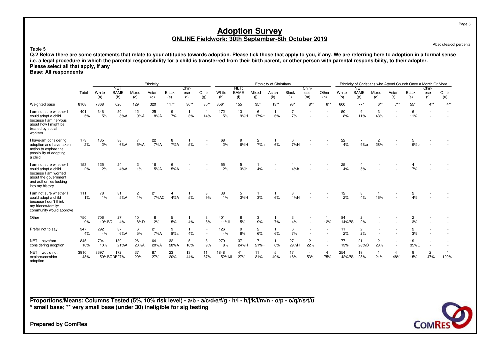Absolutes/col percents

Page 8

#### Table 5

 **Q.2 Below there are some statements that relate to your attitudes towards adoption. Please tick those that apply to you, if any. We are referring here to adoption in a formal sensei.e. a legal procedure in which the parental responsibility for a child is transferred from their birth parent, or other person with parental responsibility, to their adopter.Please select all that apply, if any**

### **Base: All respondents**

|                                                                                                                                              |             |              |                            |              | Ethnicity    |                     |                     |              |                |                            |                        | Ethnicity of Christians |                      |                       |                                                      |              |                            |                       |                          | Ethnicity of Christians who Attend Church Once a Month Or More |                       |              |
|----------------------------------------------------------------------------------------------------------------------------------------------|-------------|--------------|----------------------------|--------------|--------------|---------------------|---------------------|--------------|----------------|----------------------------|------------------------|-------------------------|----------------------|-----------------------|------------------------------------------------------|--------------|----------------------------|-----------------------|--------------------------|----------------------------------------------------------------|-----------------------|--------------|
|                                                                                                                                              | Total       | White<br>(a) | NET:<br><b>BAME</b><br>(b) | Mixed<br>(c) | Asian<br>(d) | <b>Black</b><br>(e) | Chin-<br>ese<br>(f) | Other<br>(q) | White<br>(h)   | NET:<br><b>BAME</b><br>(i) | Mixed<br>(i)           | Asian<br>(k)            | <b>Black</b><br>(1)  | Chin-<br>ese<br>(m)   | Other<br>(n)                                         | White<br>(o) | NET:<br><b>BAME</b><br>(p) | Mixed<br>(a)          | Asian<br>(r)             | <b>Black</b><br>(s)                                            | Chin-<br>ese<br>(t)   | Other<br>(u) |
| Weighted base                                                                                                                                | 8108        | 7368         | 626                        | 129          | 320          | $117*$              | $30**$              | $30**$       | 3561           | 155                        | $35*$                  | $13***$                 | $93*$                | $8***$                | $6***$                                               | 600          | $77*$                      | $6***$                | $7***$                   | $55*$                                                          | $4***$                | $4***$       |
| I am not sure whether I<br>could adopt a child<br>because I am nervous<br>about how I might be<br>treated by social<br>workers               | 401<br>5%   | 346<br>5%    | 50<br>8%A                  | 12<br>9%A    | 25<br>8%A    | 9<br>7%             | $\mathbf{1}$<br>3%  | 4<br>14%     | 172<br>5%      | 13<br>9%H                  | 6<br>17%H              | 6%                      | $\overline{7}$<br>7% |                       |                                                      | 50<br>8%     | 9<br>11%                   | 3<br>43%              | $\overline{\phantom{a}}$ | 6<br>11%                                                       |                       |              |
| I have/am considering<br>adoption and have taken<br>action to explore the<br>possibility of adopting<br>a child                              | 173<br>2%   | 135<br>2%    | 38<br>6%A                  | 5%A          | 22<br>7%A    | 8<br>7%A            | 5%                  |              | 68<br>2%       | 9<br>6%H                   | 2<br>7%h               | 6%                      | 6<br>7%H             |                       |                                                      | 22<br>4%     | 9%0                        | 2<br>28%              |                          | 9%                                                             |                       |              |
| I am not sure whether I<br>could adopt a child<br>because I am worried<br>about the government<br>and authorities looking<br>into my history | 153<br>2%   | 125<br>2%    | 24<br>4%A                  | 2<br>$1\%$   | 16<br>5%A    | 6<br>5%A            |                     |              | 55<br>2%       | 5<br>3%h                   | 4%                     |                         | 4<br>4%h             |                       |                                                      | 25<br>4%     | 4<br>5%                    |                       |                          | 7%                                                             |                       |              |
| I am not sure whether I<br>could adopt a child<br>because I don't think<br>my friends/family/<br>community would approve                     | 111<br>1%   | 78<br>1%     | 31<br>5%A                  | 2<br>1%      | 21<br>7%AC   | 4%A                 | 5%                  | 3<br>9%      | 38<br>1%       | 5<br>3%H                   | 3%                     | 6%                      | 3<br>4%H             |                       |                                                      | 12<br>2%     | 3<br>4%                    | 16%                   |                          | $\overline{2}$<br>4%                                           |                       |              |
| Other                                                                                                                                        | 750<br>9%   | 706<br>10%BD | 27<br>4%                   | 10<br>8%D    | 8<br>2%      | 5<br>5%             | -1<br>4%            | 3<br>8%      | 401<br>11%IL   | 8<br>5%                    | 3<br>9%                | 7%                      | 3<br>4%              |                       | 12%                                                  | 84<br>14%PS  | -2<br>2%                   |                       |                          | 3%                                                             |                       |              |
| Prefer not to say                                                                                                                            | 347<br>4%   | 292<br>4%    | 37<br>6%A                  | 6<br>5%      | 21<br>7%A    | 9<br>8%a            | $\mathbf{1}$<br>4%  |              | 126<br>4%      | 9<br>6%                    | $\overline{2}$<br>6%   | $\mathbf{1}$<br>6%      | 6<br>7%              |                       | $\overline{\phantom{a}}$                             | 11<br>2%     | $\overline{c}$<br>2%       |                       |                          | $\overline{c}$<br>3%                                           |                       |              |
| NET: I have/am<br>considering adoption                                                                                                       | 845<br>10%  | 704<br>10%   | 130<br>21%A                | 26<br>20%A   | 64<br>20%A   | 32<br>28%A          | 5<br>16%            | 3<br>9%      | 279<br>8%      | 37<br>24%H                 | $\overline{7}$<br>21%H | $\overline{1}$<br>6%    | 27<br>29%H           | $\overline{c}$<br>22% | $\overline{\phantom{a}}$<br>$\overline{\phantom{a}}$ | 77<br>13%    | 21<br>28%O                 | $\overline{c}$<br>28% |                          | 19<br>35%O                                                     |                       |              |
| NET: I would not<br>explore/consider<br>adoption                                                                                             | 3910<br>48% | 3697         | 172<br>50%BCDE27%          | 37<br>29%    | 87<br>27%    | 23<br>20%           | 13<br>44%           | 11<br>37%    | 1848<br>52% JL | 41<br>27%                  | 11<br>31%              | 5<br>40%                | 17<br>18%            | 4<br>53%              | $\overline{4}$<br>75%                                | 254<br>42%PS | 19<br>25%                  | -1<br>21%             | $\overline{4}$<br>48%    | 9<br>15%                                                       | $\overline{c}$<br>47% | 4<br>100%    |

**Proportions/Means: Columns Tested (5%, 10% risk level) - a/b - a/c/d/e/f/g - h/i - h/j/k/l/m/n - o/p - o/q/r/s/t/u\* small base; \*\* very small base (under 30) ineligible for sig testing**

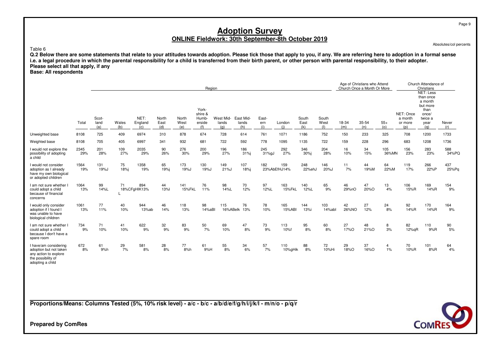Absolutes/col percents

Page 9

Table 6

Q.2 Below there are some statements that relate to your attitudes towards adoption. Please tick those that apply to you, if any. We are referring here to adoption in a formal sense<br>i.e. a legal procedure in which the paren **Please select all that apply, if any**

## **Base: All respondents**

|                                                                                                                    |             |                      |              |                        |                      |                      | Region                                     |                           |                           |                     |                     |                      |                      |              | Age of Christians who Attend<br>Church Once a Month Or More |              |                                        | Church Attendance of<br>Christians<br><b>NET: Less</b>                      |              |
|--------------------------------------------------------------------------------------------------------------------|-------------|----------------------|--------------|------------------------|----------------------|----------------------|--------------------------------------------|---------------------------|---------------------------|---------------------|---------------------|----------------------|----------------------|--------------|-------------------------------------------------------------|--------------|----------------------------------------|-----------------------------------------------------------------------------|--------------|
|                                                                                                                    | Total       | Scot-<br>land<br>(a) | Wales<br>(b) | NET:<br>England<br>(c) | North<br>East<br>(d) | North<br>West<br>(e) | York-<br>shire &<br>Humb-<br>erside<br>(f) | West Mid-<br>lands<br>(q) | East Mid-<br>lands<br>(h) | East-<br>ern<br>(i) | London<br>(i)       | South<br>East<br>(k) | South<br>West<br>(1) | 18-34<br>(m) | 35-54<br>(n)                                                | $55+$<br>(0) | NET: Once<br>a month<br>or more<br>(p) | than once<br>a month<br>but more<br>than<br>once/<br>twice a<br>year<br>(a) | Never<br>(r) |
| Unweighted base                                                                                                    | 8108        | 725                  | 409          | 6974                   | 310                  | 878                  | 674                                        | 728                       | 614                       | 761                 | 1071                | 1186                 | 752                  | 150          | 233                                                         | 325          | 708                                    | 1200                                                                        | 1733         |
| Weighted base                                                                                                      | 8108        | 705                  | 405          | 6997                   | 341                  | 932                  | 681                                        | 722                       | 592                       | 778                 | 1095                | 1135                 | 722                  | 159          | 228                                                         | 296          | 683                                    | 1208                                                                        | 1736         |
| I would not explore the<br>possibility of adopting<br>a child                                                      | 2345<br>29% | 201<br>28%           | 109<br>27%   | 2035<br>29%            | 90<br>26%            | 276<br>30%           | 200<br>29%                                 | 196<br>27%                | 186<br>31%j               | 245<br>31%gJ        | 292<br>27%          | 346<br>30%j          | 204<br>28%           | 16<br>10%    | 34<br>15%                                                   | 105<br>36%MN | 156<br>23%                             | 283<br>23%                                                                  | 588<br>34%PQ |
| I would not consider<br>adoption as I already<br>have my own biological<br>or adopted children                     | 1564<br>19% | 131<br>19%J          | 75<br>18%j   | 1358<br>19%            | 65<br>19%j           | 173<br>19%J          | 130<br>19%J                                | 149<br>21%J               | 107<br>18%j               | 182                 | 159<br>23%AbEfHJ14% | 248<br>22%ehJ        | 146<br>20%J          | 11<br>7%     | 44<br>19%M                                                  | 64<br>22%M   | 119<br>17%                             | 266<br>22%P                                                                 | 437<br>25%Pq |
| I am not sure whether<br>could adopt a child<br>because of financial<br>concerns                                   | 1064<br>13% | 99<br>14%L           | 71           | 894<br>18%CFgHIK13%    | 44<br><b>13%</b>     | 141<br>15%FkL        | 76<br>11%                                  | 98<br>14%L                | 70<br>12%                 | 97<br>12%L          | 163<br>15%FkL       | 140<br>12%L          | 65<br>9%             | 46<br>29%nO  | 47<br>20%O                                                  | 13<br>4%     | 106<br>15%R                            | 169<br>14%R                                                                 | 154<br>9%    |
| I would only consider<br>adoption if I found<br>was unable to have<br>biological children                          | 1061<br>13% | 77<br>11%            | 40<br>10%    | 944<br>13%ab           | 46<br>14%            | 118<br>13%           | 98<br>14%aBI                               | 115<br>16%ABelk 13%       | 76                        | 78<br>10%           | 165<br>15%ABI       | 144<br>13%i          | 103<br>14%abl        | 42<br>26%NO  | 27<br>12%                                                   | 24<br>8%     | 92<br>14%R                             | 170<br>14%R                                                                 | 164<br>9%    |
| I am not sure whether<br>could adopt a child<br>because I don't have a<br>spare room                               | 734<br>9%   | 71<br>10%            | 41<br>10%    | 622<br>9%              | 32<br>9%             | 83<br>9%             | 50<br>7%                                   | 69<br>10%                 | 47<br>8%                  | 73<br>9%            | 113<br>10%f         | 95<br>8%             | 60<br>8%             | 27<br>17%O   | 48<br>21%O                                                  | 8<br>3%      | 82<br>12%gR                            | 110<br>9%R                                                                  | 90<br>5%     |
| I have/am considering<br>adoption but not taken<br>any action to explore<br>the possibility of<br>adopting a child | 672<br>8%   | 61<br>9%h            | 29<br>7%     | 581<br>8%              | 28<br>8%             | 77<br>8%h            | 61<br>9%H                                  | 55<br>8%                  | 34<br>6%                  | 57<br>7%            | 110<br>10%gHik      | 88<br>8%             | 72<br>10%Hi          | 29<br>18%O   | 37<br>16%O                                                  | 4<br>1%      | 70<br>10%R                             | 101<br>8%R                                                                  | 64<br>4%     |

**Proportions/Means: Columns Tested (5%, 10% risk level) - a/c - b/c - a/b/d/e/f/g/h/i/j/k/l - m/n/o - p/q/r**

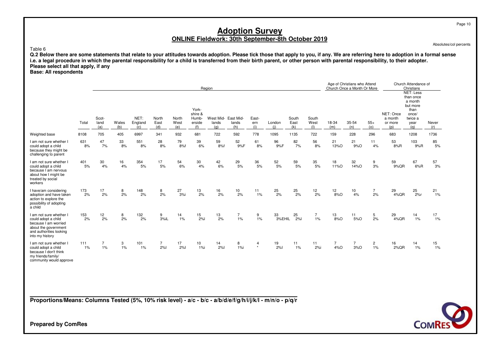Absolutes/col percents

Page 10

Table 6

Q.2 Below there are some statements that relate to your attitudes towards adoption. Please tick those that apply to you, if any. We are referring here to adoption in a formal sense<br>i.e. a legal procedure in which the paren **Please select all that apply, if any**

## **Base: All respondents**

|                                                                                                                                              |           |                      |              |                        |                      |                      |                                            | Region                              |              |                     |               |                      |                      |                       | Age of Christians who Attend<br>Church Once a Month Or More |                         |                                        | Church Attendance of<br>Christians<br><b>NET: Less</b>                      |               |
|----------------------------------------------------------------------------------------------------------------------------------------------|-----------|----------------------|--------------|------------------------|----------------------|----------------------|--------------------------------------------|-------------------------------------|--------------|---------------------|---------------|----------------------|----------------------|-----------------------|-------------------------------------------------------------|-------------------------|----------------------------------------|-----------------------------------------------------------------------------|---------------|
|                                                                                                                                              | Total     | Scot-<br>land<br>(a) | Wales<br>(b) | NET:<br>England<br>(c) | North<br>East<br>(d) | North<br>West<br>(e) | York-<br>shire &<br>Humb-<br>erside<br>(f) | West Mid- East Mid-<br>lands<br>(q) | lands<br>(h) | East-<br>ern<br>(i) | London<br>(i) | South<br>East<br>(k) | South<br>West<br>(1) | 18-34<br>(m)          | 35-54<br>(n)                                                | $55+$<br>(o)            | NET: Once<br>a month<br>or more<br>(p) | than once<br>a month<br>but more<br>than<br>once/<br>twice a<br>year<br>(a) | Never<br>(r)  |
| Weighted base                                                                                                                                | 8108      | 705                  | 405          | 6997                   | 341                  | 932                  | 681                                        | 722                                 | 592          | 778                 | 1095          | 1135                 | 722                  | 159                   | 228                                                         | 296                     | 683                                    | 1208                                                                        | 1736          |
| I am not sure whether I<br>could adopt a child<br>because they might be<br>challenging to parent                                             | 631<br>8% | 47<br>7%             | 33<br>8%     | 551<br>8%              | 28<br>8%             | 79<br>8%f            | 39<br>6%                                   | 59<br>8%f                           | 52<br>9%F    | 61<br>8%            | 96<br>9%F     | 82<br>7%             | 56<br>8%             | 21<br>13%O            | 21<br>9%O                                                   | 11<br>4%                | 53<br>8%R                              | 103<br>9%R                                                                  | 85<br>5%      |
| I am not sure whether I<br>could adopt a child<br>because I am nervous<br>about how I might be<br>treated by social<br>workers               | 401<br>5% | 30<br>4%             | 16<br>4%     | 354<br>$5%$            | 17<br>5%             | 54<br>6%             | 30<br>4%                                   | 42<br>6%                            | 29<br>5%     | 36<br>5%            | 52<br>5%      | 59<br>5%             | 35<br>5%             | 18<br>11%O            | 32<br>14%O                                                  | 9<br>3%                 | 59<br>9%QR                             | 67<br>6%R                                                                   | 57<br>3%      |
| I have/am considering<br>adoption and have taken<br>action to explore the<br>possibility of adopting<br>a child                              | 173<br>2% | 17<br>2%             | 8<br>2%      | 148<br>2%              | 8<br>2%              | 27<br>3%             | 13<br>2%                                   | 16<br>2%                            | 10<br>2%     | 11<br>1%            | 25<br>2%      | 25<br>2%             | 12<br>2%             | 12<br>8%O             | 10<br>4%                                                    | $\overline{7}$<br>2%    | 29<br>4%QR                             | 25<br>2%r                                                                   | $^{21}_{1\%}$ |
| I am not sure whether I<br>could adopt a child<br>because I am worried<br>about the government<br>and authorities looking<br>into my history | 153<br>2% | 12<br>2%             | 8<br>2%      | 132<br>2%              | 9<br>3%iL            | 14<br>1%             | 15<br>2%                                   | 13<br>2%                            | 7<br>1%      | 9<br>1%             | 33<br>3%EHIL  | 25<br>2%             | $\overline{7}$<br>1% | 13<br>8%O             | 11<br>5%O                                                   | 5<br>2%                 | 29<br>4%QR                             | 14<br>1%                                                                    | 17<br>1%      |
| I am not sure whether I<br>could adopt a child<br>because I don't think<br>my friends/family/<br>community would approve                     | 111<br>1% | $\overline{7}$<br>1% | 3<br>1%      | 101<br>1%              | $\overline{7}$<br>2% | 17<br>2%             | 10<br>$1%$ i                               | 14<br>2%                            | 8<br>1%i     | 4<br>$\star$        | 19<br>2%      | 11<br>1%             | 11<br>2%i            | $\overline{7}$<br>4%O | 7<br>3%O                                                    | $\overline{2}$<br>$1\%$ | 16<br>2%QR                             | 14<br>1%                                                                    | 15<br>1%      |

**Proportions/Means: Columns Tested (5%, 10% risk level) - a/c - b/c - a/b/d/e/f/g/h/i/j/k/l - m/n/o - p/q/r**